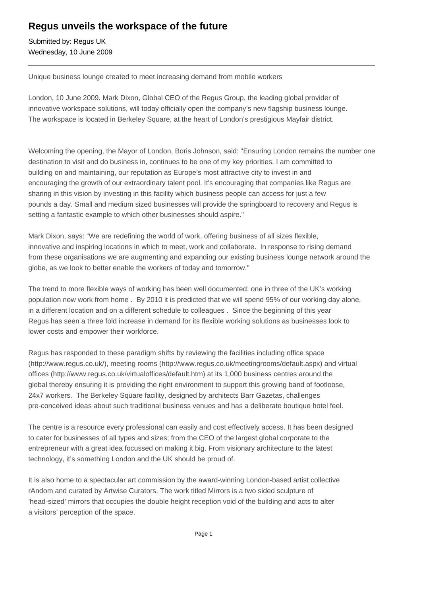## **Regus unveils the workspace of the future**

Submitted by: Regus UK Wednesday, 10 June 2009

Unique business lounge created to meet increasing demand from mobile workers

London, 10 June 2009. Mark Dixon, Global CEO of the Regus Group, the leading global provider of innovative workspace solutions, will today officially open the company's new flagship business lounge. The workspace is located in Berkeley Square, at the heart of London's prestigious Mayfair district.

Welcoming the opening, the Mayor of London, Boris Johnson, said: "Ensuring London remains the number one destination to visit and do business in, continues to be one of my key priorities. I am committed to building on and maintaining, our reputation as Europe's most attractive city to invest in and encouraging the growth of our extraordinary talent pool. It's encouraging that companies like Regus are sharing in this vision by investing in this facility which business people can access for just a few pounds a day. Small and medium sized businesses will provide the springboard to recovery and Regus is setting a fantastic example to which other businesses should aspire."

Mark Dixon, says: "We are redefining the world of work, offering business of all sizes flexible, innovative and inspiring locations in which to meet, work and collaborate. In response to rising demand from these organisations we are augmenting and expanding our existing business lounge network around the globe, as we look to better enable the workers of today and tomorrow."

The trend to more flexible ways of working has been well documented; one in three of the UK's working population now work from home . By 2010 it is predicted that we will spend 95% of our working day alone, in a different location and on a different schedule to colleagues . Since the beginning of this year Regus has seen a three fold increase in demand for its flexible working solutions as businesses look to lower costs and empower their workforce.

Regus has responded to these paradigm shifts by reviewing the facilities including office space (http://www.regus.co.uk/), meeting rooms (http://www.regus.co.uk/meetingrooms/default.aspx) and virtual offices (http://www.regus.co.uk/virtualoffices/default.htm) at its 1,000 business centres around the global thereby ensuring it is providing the right environment to support this growing band of footloose, 24x7 workers. The Berkeley Square facility, designed by architects Barr Gazetas, challenges pre-conceived ideas about such traditional business venues and has a deliberate boutique hotel feel.

The centre is a resource every professional can easily and cost effectively access. It has been designed to cater for businesses of all types and sizes; from the CEO of the largest global corporate to the entrepreneur with a great idea focussed on making it big. From visionary architecture to the latest technology, it's something London and the UK should be proud of.

It is also home to a spectacular art commission by the award-winning London-based artist collective rAndom and curated by Artwise Curators. The work titled Mirrors is a two sided sculpture of 'head-sized' mirrors that occupies the double height reception void of the building and acts to alter a visitors' perception of the space.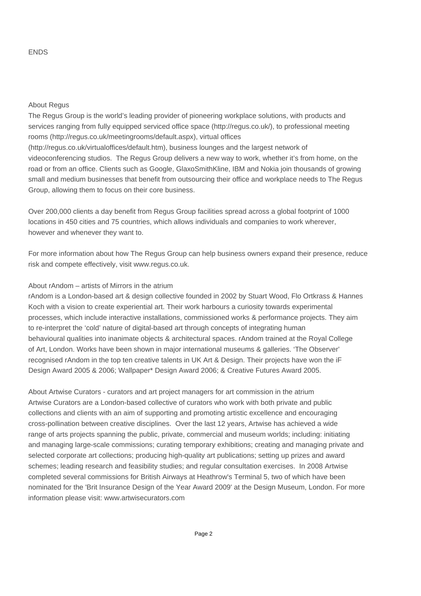## ENDS

## About Regus

The Regus Group is the world's leading provider of pioneering workplace solutions, with products and services ranging from fully equipped serviced office space (http://regus.co.uk/), to professional meeting rooms (http://regus.co.uk/meetingrooms/default.aspx), virtual offices (http://regus.co.uk/virtualoffices/default.htm), business lounges and the largest network of videoconferencing studios. The Regus Group delivers a new way to work, whether it's from home, on the road or from an office. Clients such as Google, GlaxoSmithKline, IBM and Nokia join thousands of growing small and medium businesses that benefit from outsourcing their office and workplace needs to The Regus Group, allowing them to focus on their core business.

Over 200,000 clients a day benefit from Regus Group facilities spread across a global footprint of 1000 locations in 450 cities and 75 countries, which allows individuals and companies to work wherever, however and whenever they want to.

For more information about how The Regus Group can help business owners expand their presence, reduce risk and compete effectively, visit www.regus.co.uk.

## About rAndom – artists of Mirrors in the atrium

rAndom is a London-based art & design collective founded in 2002 by Stuart Wood, Flo Ortkrass & Hannes Koch with a vision to create experiential art. Their work harbours a curiosity towards experimental processes, which include interactive installations, commissioned works & performance projects. They aim to re-interpret the 'cold' nature of digital-based art through concepts of integrating human behavioural qualities into inanimate objects & architectural spaces. rAndom trained at the Royal College of Art, London. Works have been shown in major international museums & galleries. 'The Observer' recognised rAndom in the top ten creative talents in UK Art & Design. Their projects have won the iF Design Award 2005 & 2006; Wallpaper\* Design Award 2006; & Creative Futures Award 2005.

About Artwise Curators - curators and art project managers for art commission in the atrium Artwise Curators are a London-based collective of curators who work with both private and public collections and clients with an aim of supporting and promoting artistic excellence and encouraging cross-pollination between creative disciplines. Over the last 12 years, Artwise has achieved a wide range of arts projects spanning the public, private, commercial and museum worlds; including: initiating and managing large-scale commissions; curating temporary exhibitions; creating and managing private and selected corporate art collections; producing high-quality art publications; setting up prizes and award schemes; leading research and feasibility studies; and regular consultation exercises. In 2008 Artwise completed several commissions for British Airways at Heathrow's Terminal 5, two of which have been nominated for the 'Brit Insurance Design of the Year Award 2009' at the Design Museum, London. For more information please visit: www.artwisecurators.com